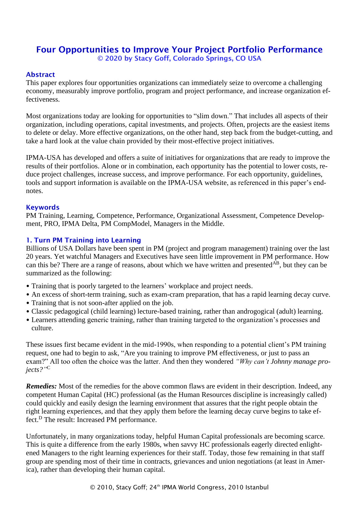# Four Opportunities to Improve Your Project Portfolio Performance © 2020 by Stacy Goff, Colorado Springs, CO USA

## Abstract

This paper explores four opportunities organizations can immediately seize to overcome a challenging economy, measurably improve portfolio, program and project performance, and increase organization effectiveness.

Most organizations today are looking for opportunities to "slim down." That includes all aspects of their organization, including operations, capital investments, and projects. Often, projects are the easiest items to delete or delay. More effective organizations, on the other hand, step back from the budget-cutting, and take a hard look at the value chain provided by their most-effective project initiatives.

IPMA-USA has developed and offers a suite of initiatives for organizations that are ready to improve the results of their portfolios. Alone or in combination, each opportunity has the potential to lower costs, reduce project challenges, increase success, and improve performance. For each opportunity, guidelines, tools and support information is available on the IPMA-USA website, as referenced in this paper's endnotes.

## Keywords

PM Training, Learning, Competence, Performance, Organizational Assessment, Competence Development, PRO, IPMA Delta, PM CompModel, Managers in the Middle.

## 1. Turn PM Training into Learning

Billions of USA Dollars have been spent in PM (project and program management) training over the last 20 years. Yet watchful Managers and Executives have seen little improvement in PM performance. How can this be? There are a range of reasons, about which we have written and presented<sup>AB</sup>, but they can be summarized as the following:

- Training that is poorly targeted to the learners' workplace and project needs.
- An excess of short-term training, such as exam-cram preparation, that has a rapid learning decay curve.
- Training that is not soon-after applied on the job.
- Classic pedagogical (child learning) lecture-based training, rather than androgogical (adult) learning.
- Learners attending generic training, rather than training targeted to the organization's processes and culture.

These issues first became evident in the mid-1990s, when responding to a potential client's PM training request, one had to begin to ask, "Are you training to improve PM effectiveness, or just to pass an exam?" All too often the choice was the latter. And then they wondered *"Why can't Johnny manage projects?"* C

*Remedies:* Most of the remedies for the above common flaws are evident in their description. Indeed, any competent Human Capital (HC) professional (as the Human Resources discipline is increasingly called) could quickly and easily design the learning environment that assures that the right people obtain the right learning experiences, and that they apply them before the learning decay curve begins to take effect.<sup>D</sup> The result: Increased PM performance.

Unfortunately, in many organizations today, helpful Human Capital professionals are becoming scarce. This is quite a difference from the early 1980s, when savvy HC professionals eagerly directed enlightened Managers to the right learning experiences for their staff. Today, those few remaining in that staff group are spending most of their time in contracts, grievances and union negotiations (at least in America), rather than developing their human capital.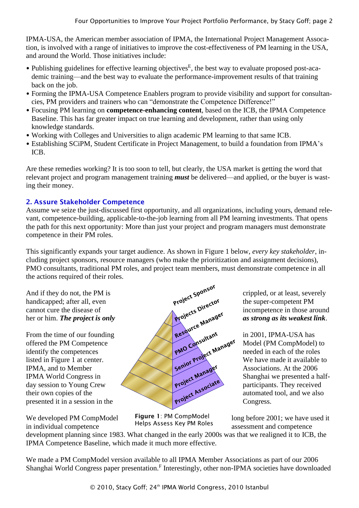IPMA-USA, the American member association of IPMA, the International Project Management Assocation, is involved with a range of initiatives to improve the cost-effectiveness of PM learning in the USA, and around the World. Those initiatives include:

- Publishing guidelines for effective learning objectives<sup>E</sup>, the best way to evaluate proposed post-academic training—and the best way to evaluate the performance-improvement results of that training back on the job.
- Forming the IPMA-USA Competence Enablers program to provide visibility and support for consultancies, PM providers and trainers who can "demonstrate the Competence Difference!"
- Focusing PM learning on **competence-enhancing content**, based on the ICB, the IPMA Competence Baseline. This has far greater impact on true learning and development, rather than using only knowledge standards.
- Working with Colleges and Universities to align academic PM learning to that same ICB.
- Establishing SCiPM, Student Certificate in Project Management, to build a foundation from IPMA's ICB.

Are these remedies working? It is too soon to tell, but clearly, the USA market is getting the word that relevant project and program management training *must* be delivered—and applied, or the buyer is wasting their money.

# 2. Assure Stakeholder Competence

Assume we seize the just-discussed first opportunity, and all organizations, including yours, demand relevant, competence-building, applicable-to-the-job learning from all PM learning investments. That opens the path for this next opportunity: More than just your project and program managers must demonstrate competence in their PM roles.

This significantly expands your target audience. As shown in Figure 1 below, *every key stakeholder*, including project sponsors, resource managers (who make the prioritization and assignment decisions), PMO consultants, traditional PM roles, and project team members, must demonstrate competence in all the actions required of their roles.

in individual competence **EXECUTE:** Helps Assess Key PM Roles assessment and competence



Figure 1: PM CompModel Helps Assess Key PM Roles

We developed PM CompModel Figure 1: PM CompModel  $\log$  before 2001; we have used it

development planning since 1983. What changed in the early 2000s was that we realigned it to ICB, the IPMA Competence Baseline, which made it much more effective.

We made a PM CompModel version available to all IPMA Member Associations as part of our 2006 Shanghai World Congress paper presentation.<sup>F</sup> Interestingly, other non-IPMA societies have downloaded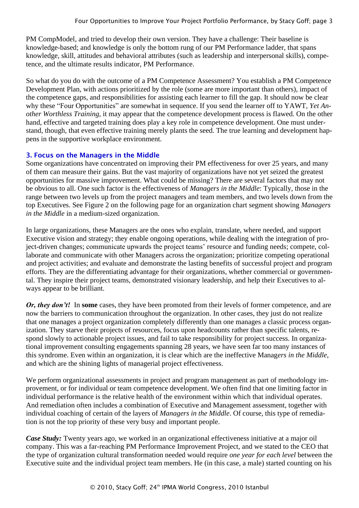PM CompModel, and tried to develop their own version. They have a challenge: Their baseline is knowledge-based; and knowledge is only the bottom rung of our PM Performance ladder, that spans knowledge, skill, attitudes and behavioral attributes (such as leadership and interpersonal skills), competence, and the ultimate results indicator, PM Performance.

So what do you do with the outcome of a PM Competence Assessment? You establish a PM Competence Development Plan, with actions prioritized by the role (some are more important than others), impact of the competence gaps, and responsibilities for assisting each learner to fill the gap. It should now be clear why these "Four Opportunities" are somewhat in sequence. If you send the learner off to YAWT, *Yet Another Worthless Training*, it may appear that the competence development process is flawed. On the other hand, effective and targeted training does play a key role in competence development. One must understand, though, that even effective training merely plants the seed. The true learning and development happens in the supportive workplace environment.

## 3. Focus on the Managers in the Middle

Some organizations have concentrated on improving their PM effectiveness for over 25 years, and many of them can measure their gains. But the vast majority of organizations have not yet seized the greatest opportunities for massive improvement. What could be missing? There are several factors that may not be obvious to all. One such factor is the effectiveness of *Managers in the Middle*: Typically, those in the range between two levels up from the project managers and team members, and two levels down from the top Executives. See Figure 2 on the following page for an organization chart segment showing *Managers in the Middle* in a medium-sized organization.

In large organizations, these Managers are the ones who explain, translate, where needed, and support Executive vision and strategy; they enable ongoing operations, while dealing with the integration of project-driven changes; communicate upwards the project teams' resource and funding needs; compete, collaborate and communicate with other Managers across the organization; prioritize competing operational and project activities; and evaluate and demonstrate the lasting benefits of successful project and program efforts. They are the differentiating advantage for their organizations, whether commercial or governmental. They inspire their project teams, demonstrated visionary leadership, and help their Executives to always appear to be brilliant.

*Or, they don't!* In some cases, they have been promoted from their levels of former competence, and are now the barriers to communication throughout the organization. In other cases, they just do not realize that one manages a project organization completely differently than one manages a classic process organization. They starve their projects of resources, focus upon headcounts rather than specific talents, respond slowly to actionable project issues, and fail to take responsibility for project success. In organizational improvement consulting engagements spanning 28 years, we have seen far too many instances of this syndrome. Even within an organization, it is clear which are the ineffective Manag*ers in the Middle*, and which are the shining lights of managerial project effectiveness.

We perform organizational assessments in project and program management as part of methodology improvement, or for individual or team competence development. We often find that one limiting factor in individual performance is the relative health of the environment within which that individual operates. And remediation often includes a combination of Executive and Management assessment, together with individual coaching of certain of the layers of *Managers in the Middle*. Of course, this type of remediation is not the top priority of these very busy and important people.

*Case Study:* Twenty years ago, we worked in an organizational effectiveness initiative at a major oil company. This was a far-reaching PM Performance Improvement Project, and we stated to the CEO that the type of organization cultural transformation needed would require *one year for each level* between the Executive suite and the individual project team members. He (in this case, a male) started counting on his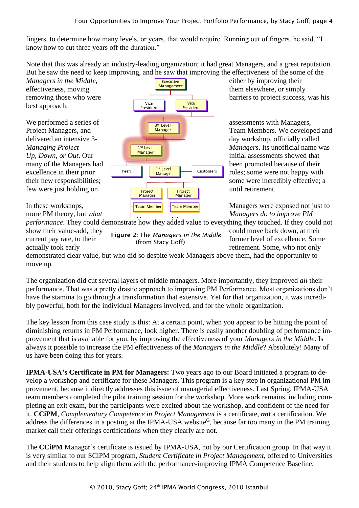fingers, to determine how many levels, or years, that would require. Running out of fingers, he said, "I know how to cut three years off the duration."

Note that this was already an industry-leading organization; it had great Managers, and a great reputation. But he saw the need to keep improving, and he saw that improving the effectiveness of the some of the

best approach.

effectiveness, moving **them** elsewhere, or simply removing those who were  $\sqrt{\frac{1}{\frac{1}{\sqrt{\frac{1}{\sqrt{\frac{1}{\sqrt{\frac{1}{\sqrt{\frac{1}{\sqrt{\frac{1}{\sqrt{\frac{1}{\sqrt{\frac{1}{\sqrt{\frac{1}{\sqrt{\frac{1}{\sqrt{\frac{1}{\sqrt{\frac{1}{\sqrt{\frac{1}{\sqrt{\frac{1}{\sqrt{\frac{1}{\sqrt{\frac{1}{\sqrt{\frac{1}{\sqrt{\frac{1}{\sqrt{\frac{1}{\sqrt{\frac{1}{\sqrt{\frac{1}{\sqrt{\frac{1}{\sqrt{\frac{1}{\sqrt{\frac{1}{\sqrt{\frac{1}{\sqrt{\frac{1}{\sqrt{\frac{1}{\sqrt$ President **President** We performed a series of  $\sqrt{\frac{3^{nd} \text{Level}}{2^{nd} \text{ level}}}}$  assessments with Managers, Project Managers, and **Team Members.** We developed and Team Members. We developed and delivered an intensive 3- day workshop, officially called *Managing Project*  $\sqrt{\frac{2^{nd} \text{ Level}}{Manager}}$  *Managers*. Its unofficial name was *Up, Down, or Out.* Our **initial assessments showed that** many of the Managers had been promoted because of their excellence in their prior roles; some were not happy with their new responsibilities;  $\overline{\phantom{0}}$  some were incredibly effective; a few were just holding on until retirement. In these workshops,  $\left\| \frac{1}{\text{Team Member}} \right\|$   $\left\| \frac{1}{\text{Team Member}} \right\|$  Managers were exposed not just to more PM theory, but *what* Managers do to improve PM

*Managers in the Middle*, **Executive Executive** either by improving their

*performance*. They could demonstrate how they added value to everything they touched. If they could not show their value-add, they  $\overline{c}$  could move back down, at their

current pay rate, to their **former**  $\epsilon$  former  $\epsilon$  former level of excellence. Some Figure 2: The *Managers in the Middle* (from Stacy Goff)

actually took early actually took early retirement. Some, who not only

demonstrated clear value, but who did so despite weak Managers above them, had the opportunity to move up.

The organization did cut several layers of middle managers. More importantly, they improved *all* their performance. That was a pretty drastic approach to improving PM Performance. Most organizations don't have the stamina to go through a transformation that extensive. Yet for that organization, it was incredibly powerful, both for the individual Managers involved, and for the whole organization.

The key lesson from this case study is this: At a certain point, when you appear to be hitting the point of diminishing returns in PM Performance, look higher. There is easily another doubling of performance improvement that is available for you, by improving the effectiveness of your *Managers in the Middle*. Is always it possible to increase the PM effectiveness of the *Managers in the Middle*? Absolutely! Many of us have been doing this for years.

**IPMA-USA's Certificate in PM for Managers:** Two years ago to our Board initiated a program to develop a workshop and certificate for these Managers. This program is a key step in organizational PM improvement, because it directly addresses this issue of managerial effectiveness. Last Spring, IPMA-USA team members completed the pilot training session for the workshop. More work remains, including completing an exit exam, but the participants were excited about the workshop, and confident of the need for it. **CCiPM**, *Complementary Competence in Project Management* is a certificate, *not* a certification. We address the differences in a posting at the IPMA-USA website<sup>G</sup>, because far too many in the PM training market call their offerings certifications when they clearly are not.

The **CCiPM** Manager's certificate is issued by IPMA-USA, not by our Certification group. In that way it is very similar to our SCiPM program, *Student Certificate in Project Management*, offered to Universities and their students to help align them with the performance-improving IPMA Competence Baseline,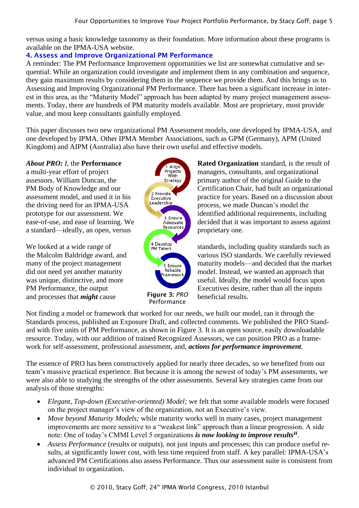versus using a basic knowledge taxonomy as their foundation. More information about these programs is available on the IPMA-USA website.

# 4. Assess and Improve Organizational PM Performance

A reminder: The PM Performance Improvement opportunities we list are somewhat cumulative and sequential. While an organization could investigate and implement them in any combination and sequence, they gain maximum results by considering them in the sequence we provide them. And this brings us to Assessing and Improving Organizational PM Performance. There has been a significant increase in interest in this area, as the "Maturity Model" approach has been adapted by many project management assessments. Today, there are hundreds of PM maturity models available. Most are proprietary, most provide value, and most keep consultants gainfully employed.

This paper discusses two new organizational PM Assessment models, one developed by IPMA-USA, and one developed by IPMA. Other IPMA Member Associations, such as GPM (Germany), APM (United Kingdom) and AIPM (Australia) also have their own useful and effective models.

a standard—ideally, an open, versus proprietary one.

and processes that *might* cause **beneficial results.** 



*About PRO: I*, the **Performance Rated Organization** standard, is the result of a multi-year effort of project managers, consultants, and organizational assessors. William Duncan, the **primary author of the original Guide to the** PM Body of Knowledge and our Certification Chair, had built an organizational assessment model, and used it in his practice for years. Based on a discussion about the driving need for an IPMA-USA **Leadership** process, we made Duncan's model the prototype for our assessment. We identified additional requirements, including ease-of-use, and ease of learning. We decided that it was important to assess against

We looked at a wide range of  $\left( \begin{array}{c} 4 \text{ Develop} \\ \text{PM Talent} \end{array} \right)$  standards, including quality standards such as the Malcolm Baldridge award, and various ISO standards. We carefully reviewed many of the project management **maturity** maturity models—and decided that the market did not need yet another maturity **nodel** nodel. Instead, we wanted an approach that was unique, distinctive, and more useful. Ideally, the model would focus upon PM Performance, the output Executives desire, rather than all the inputs

Not finding a model or framework that worked for our needs, we built our model, ran it through the Standards process, published an Exposure Draft, and collected comments. We published the PRO Standard with five units of PM Performance, as shown in Figure 3. It is an open source, easily downloadable resource. Today, with our addition of trained Recognized Assessors, we can position PRO as a framework for self-assessment, professional assessment, and, *actions for performance improvement*.

The essence of PRO has been constructively applied for nearly three decades, so we benefited from our team's massive practical experience. But because it is among the newest of today's PM assessments, we were also able to studying the strengths of the other assessments. Several key strategies came from our analysis of those strengths:

- *Elegant, Top-down (Executive-oriented) Model;* we felt that some available models were focused on the project manager's view of the organization, not an Executive's view.
- *Move beyond Maturity Models;* while maturity works well in many cases, project management improvements are more sensitive to a "weakest link" approach than a linear progression. A side note: One of today's CMMI Level 5 organizations *is now looking to improve results<sup>H</sup>*.
- *Assess Performance* (results or outputs), not just inputs and processes; this can produce useful results, at significantly lower cost, with less time required from staff. A key parallel: IPMA-USA's advanced PM Certifications also assess Performance. Thus our assessment suite is consistent from individual to organization.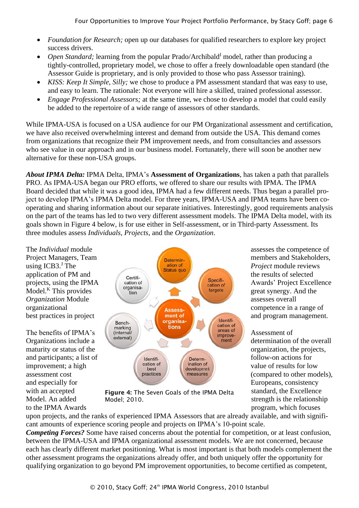- *Foundation for Research;* open up our databases for qualified researchers to explore key project success drivers.
- *Open Standard*; learning from the popular Prado/Archibald<sup>I</sup> model, rather than producing a tightly-controlled, proprietary model, we chose to offer a freely downloadable open standard (the Assessor Guide is proprietary, and is only provided to those who pass Assessor training).
- *KISS: Keep It Simple, Silly;* we chose to produce a PM assessment standard that was easy to use, and easy to learn. The rationale: Not everyone will hire a skilled, trained professional assessor.
- *Engage Professional Assessors;* at the same time, we chose to develop a model that could easily be added to the repertoire of a wide range of assessors of other standards.

While IPMA-USA is focused on a USA audience for our PM Organizational assessment and certification, we have also received overwhelming interest and demand from outside the USA. This demand comes from organizations that recognize their PM improvement needs, and from consultancies and assessors who see value in our approach and in our business model. Fortunately, there will soon be another new alternative for these non-USA groups.

*About IPMA Delta:* IPMA Delta, IPMA's **Assessment of Organizations**, has taken a path that parallels PRO. As IPMA-USA began our PRO efforts, we offered to share our results with IPMA. The IPMA Board decided that while it was a good idea, IPMA had a few different needs. Thus began a parallel project to develop IPMA's IPMA Delta model. For three years, IPMA-USA and IPMA teams have been cooperating and sharing information about our separate initiatives. Interestingly, good requirements analysis on the part of the teams has led to two very different assessment models. The IPMA Delta model, with its goals shown in Figure 4 below, is for use either in Self-assessment, or in Third-party Assessment. Its three modules assess *Individuals, Projects*, and the *Organization*.

using  $ICB3$ . The



to the IPMA Awards **program**, which focuses

with an accepted **Figure 4:** The Seven Goals of the IPMA Delta standard, the Excellence Model. An added Model: 2010. Model; 2010.

upon projects, and the ranks of experienced IPMA Assessors that are already available, and with significant amounts of experience scoring people and projects on IPMA's 10-point scale.

*Competing Forces?* Some have raised concerns about the potential for competition, or at least confusion, between the IPMA-USA and IPMA organizational assessment models. We are not concerned, because each has clearly different market positioning. What is most important is that both models complement the other assessment programs the organizations already offer, and both uniquely offer the opportunity for qualifying organization to go beyond PM improvement opportunities, to become certified as competent,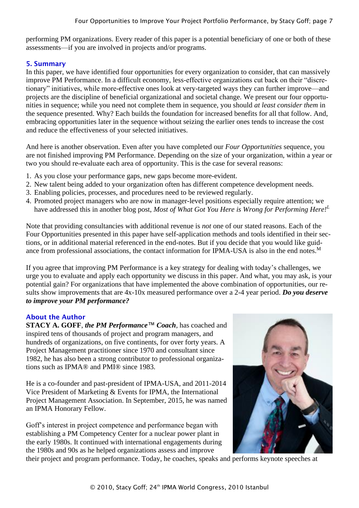performing PM organizations. Every reader of this paper is a potential beneficiary of one or both of these assessments—if you are involved in projects and/or programs.

## 5. Summary

In this paper, we have identified four opportunities for every organization to consider, that can massively improve PM Performance. In a difficult economy, less-effective organizations cut back on their "discretionary" initiatives, while more-effective ones look at very-targeted ways they can further improve—and projects are the discipline of beneficial organizational and societal change. We present our four opportunities in sequence; while you need not complete them in sequence, you should *at least consider them* in the sequence presented. Why? Each builds the foundation for increased benefits for all that follow. And, embracing opportunities later in the sequence without seizing the earlier ones tends to increase the cost and reduce the effectiveness of your selected initiatives.

And here is another observation. Even after you have completed our *Four Opportunities* sequence, you are not finished improving PM Performance. Depending on the size of your organization, within a year or two you should re-evaluate each area of opportunity. This is the case for several reasons:

- 1. As you close your performance gaps, new gaps become more-evident.
- 2. New talent being added to your organization often has different competence development needs.
- 3. Enabling policies, processes, and procedures need to be reviewed regularly.
- 4. Promoted project managers who are now in manager-level positions especially require attention; we have addressed this in another blog post, *Most of What Got You Here is Wrong for Performing Here!<sup>L</sup>*

Note that providing consultancies with additional revenue is *not* one of our stated reasons. Each of the Four Opportunities presented in this paper have self-application methods and tools identified in their sections, or in additional material referenced in the end-notes. But if you decide that you would like guidance from professional associations, the contact information for IPMA-USA is also in the end notes.<sup>M</sup>

If you agree that improving PM Performance is a key strategy for dealing with today's challenges, we urge you to evaluate and apply each opportunity we discuss in this paper. And what, you may ask, is your potential gain? For organizations that have implemented the above combination of opportunities, our results show improvements that are 4x-10x measured performance over a 2-4 year period. *Do you deserve to improve your PM performance?*

## About the Author

**STACY A. GOFF**, *the PM Performance™ Coach*, has coached and inspired tens of thousands of project and program managers, and hundreds of organizations, on five continents, for over forty years. A Project Management practitioner since 1970 and consultant since 1982, he has also been a strong contributor to professional organizations such as IPMA® and PMI® since 1983.

He is a co-founder and past-president of IPMA-USA, and 2011-2014 Vice President of Marketing & Events for IPMA, the International Project Management Association. In September, 2015, he was named an IPMA Honorary Fellow.

Goff's interest in project competence and performance began with establishing a PM Competency Center for a nuclear power plant in the early 1980s. It continued with international engagements during the 1980s and 90s as he helped organizations assess and improve



their project and program performance. Today, he coaches, speaks and performs keynote speeches at